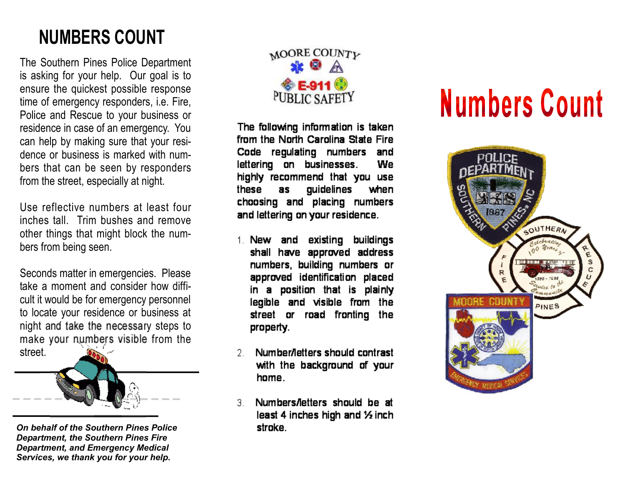## NUMBERS COUNT

The Southern Pines Police Department is asking for your help. Our goal is to ensure the quickest possible response time of emergency responders, i.e. Fire, Police and Rescue to your business or residence in case of an emergency. You can help by making sure that your residence or business is marked with numbers that can be seen by responders from the street, especially at night.

Use reflective numbers at least four inches tall. Trim bushes and remove other things that might block the numbers from being seen.

Seconds matter in emergencies. Please take a moment and consider how difficult it would be for emergency personnel to locate your residence or business at night and take the necessary steps to make your numbers visible from the street.



*On behalf of the Southern Pines Police Department, the Southern Pines Fire Department, and Emergency Medical Services, we thank you for your help.*



The following information is taken from the North Carolina State Fire Code regulating numbers and lettering on businesses. We highly recommend that you use guidelines these as when choosing and placing numbers and lettering on your residence.

- existing buildings 1. New and shall have approved address numbers, building numbers or approved identification placed in a position that is plainly legible and visible from the street or road fronting the property.
- Number/letters should contrast 2. with the background of your home.
- Numbers/letters should be at 3. least 4 inches high and 1/2 inch stroke.

## **Numbers Count**